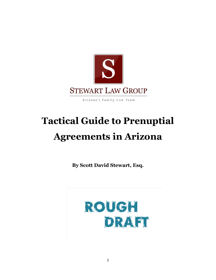

Arizona's Family Law Team

# **Tactical Guide to Prenuptial Agreements in Arizona**

**By Scott David Stewart, Esq.** 

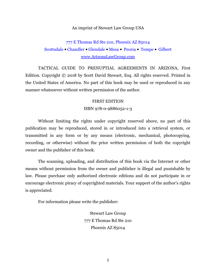#### An imprint of Stewart Law Group USA

# [777 E Thomas Rd Ste 210, Phoenix AZ 85014](https://www.arizonalawgroup.com/phoenix) [Scottsdale](https://www.arizonalawgroup.com/scottsdale) ● [Chandler](https://www.arizonalawgroup.com/chandler) ● [Glendale](https://www.arizonalawgroup.com/glendale) ● [Mesa](https://www.arizonalawgroup.com/mesa) ● [Peoria](https://www.arizonalawgroup.com/peoria-az-divorce-lawyer) ● [Tempe](https://www.arizonalawgroup.com/tempe/) ● [Gilbert](https://www.arizonalawgroup.com/gilbert/) [www.ArizonaLawGroup.com](http://www.arizonalawgroup.com/)

TACTICAL GUIDE TO PRENUPTIAL AGREEMENTS IN ARIZONA, First Edition. Copyright © 2018 by Scott David Stewart, Esq. All rights reserved. Printed in the United States of America. No part of this book may be used or reproduced in any manner whatsoever without written permission of the author.

#### FIRST EDITION

#### ISBN 978-0-9886052-1-3

Without limiting the rights under copyright reserved above, no part of this publication may be reproduced, stored in or introduced into a retrieval system, or transmitted in any form or by any means (electronic, mechanical, photocopying, recording, or otherwise) without the prior written permission of both the copyright owner and the publisher of this book.

The scanning, uploading, and distribution of this book via the Internet or other means without permission from the owner and publisher is illegal and punishable by law. Please purchase only authorized electronic editions and do not participate in or encourage electronic piracy of copyrighted materials. Your support of the author's rights is appreciated.

For information please write the publisher:

Stewart Law Group 777 E Thomas Rd Ste 210 Phoenix AZ 85014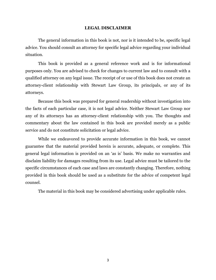#### **LEGAL DISCLAIMER**

The general information in this book is not, nor is it intended to be, specific legal advice. You should consult an attorney for specific legal advice regarding your individual situation.

This book is provided as a general reference work and is for informational purposes only. You are advised to check for changes to current law and to consult with a qualified attorney on any legal issue. The receipt of or use of this book does not create an attorney-client relationship with Stewart Law Group, its principals, or any of its attorneys.

Because this book was prepared for general readership without investigation into the facts of each particular case, it is not legal advice. Neither Stewart Law Group nor any of its attorneys has an attorney-client relationship with you. The thoughts and commentary about the law contained in this book are provided merely as a public service and do not constitute solicitation or legal advice.

While we endeavored to provide accurate information in this book, we cannot guarantee that the material provided herein is accurate, adequate, or complete. This general legal information is provided on an 'as is' basis. We make no warranties and disclaim liability for damages resulting from its use. Legal advice must be tailored to the specific circumstances of each case and laws are constantly changing. Therefore, nothing provided in this book should be used as a substitute for the advice of competent legal counsel.

The material in this book may be considered advertising under applicable rules.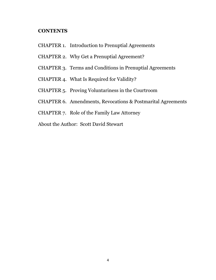# **CONTENTS**

- CHAPTER 1. Introduction to Prenuptial Agreements
- CHAPTER 2. Why Get a Prenuptial Agreement?
- CHAPTER 3. Terms and Conditions in Prenuptial Agreements
- CHAPTER 4. What Is Required for Validity?
- CHAPTER 5. Proving Voluntariness in the Courtroom
- CHAPTER 6. Amendments, Revocations & Postmarital Agreements
- CHAPTER 7. Role of the Family Law Attorney
- About the Author: Scott David Stewart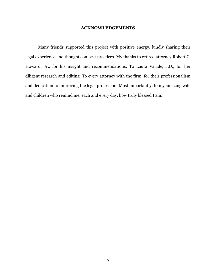#### **ACKNOWLEDGEMENTS**

Many friends supported this project with positive energy, kindly sharing their legal experience and thoughts on best practices. My thanks to retired attorney Robert C. Howard, Jr., for his insight and recommendations. To Laura Valade, J.D., for her diligent research and editing. To every attorney with the firm, for their professionalism and dedication to improving the legal profession. Most importantly, to my amazing wife and children who remind me, each and every day, how truly blessed I am.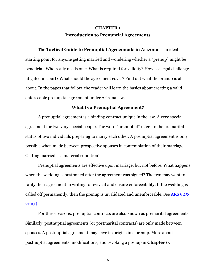# **CHAPTER 1 Introduction to Prenuptial Agreements**

The **Tactical Guide to Prenuptial Agreements in Arizona** is an ideal starting point for anyone getting married and wondering whether a "prenup" might be beneficial. Who really needs one? What is required for validity? How is a legal challenge litigated in court? What should the agreement cover? Find out what the prenup is all about. In the pages that follow, the reader will learn the basics about creating a valid, enforceable prenuptial agreement under Arizona law.

## **What Is a Prenuptial Agreement?**

A prenuptial agreement is a binding contract unique in the law. A very special agreement for two very special people. The word "prenuptial" refers to the premarital status of two individuals preparing to marry each other. A prenuptial agreement is only possible when made between prospective spouses in contemplation of their marriage. Getting married is a material condition!

Prenuptial agreements are effective upon marriage, but not before. What happens when the wedding is postponed after the agreement was signed? The two may want to ratify their agreement in writing to revive it and ensure enforceability. If the wedding is called off permanently, then the prenup is invalidated and unenforceable. See [ARS § 25-](https://www.arizonalawgroup.com/arizona-family-law-statutes/ars-25-201-premarital-agreements/)  $201(1)$ .

For these reasons, prenuptial contracts are also known as premarital agreements. Similarly, postnuptial agreements (or postmarital contracts) are only made between spouses. A postnuptial agreement may have its origins in a prenup. More about postnuptial agreements, modifications, and revoking a prenup in **Chapter 6**.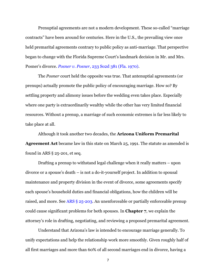Prenuptial agreements are not a modern development. These so-called "marriage contracts" have been around for centuries. Here in the U.S., the prevailing view once held premarital agreements contrary to public policy as anti-marriage. That perspective began to change with the Florida Supreme Court's landmark decision in Mr. and Mrs. Posner's divorce. *Posner v. Posner*[, 233 So2d 381 \(Fla. 1970\).](http://law.justia.com/cases/florida/supreme-court/1970/37162-0.html)

The *Posner* court held the opposite was true. That antenuptial agreements (or prenups) actually promote the public policy of encouraging marriage. How so? By settling property and alimony issues before the wedding even takes place. Especially where one party is extraordinarily wealthy while the other has very limited financial resources. Without a prenup, a marriage of such economic extremes is far less likely to take place at all.

Although it took another two decades, the **Arizona Uniform Premarital Agreement Act** became law in this state on March 25, 1991. The statute as amended is found in ARS § 25-201, et seq.

Drafting a prenup to withstand legal challenge when it really matters – upon divorce or a spouse's death – is not a do-it-yourself project. In addition to spousal maintenance and property division in the event of divorce, some agreements specify each spouse's household duties and financial obligations, how the children will be raised, and more. See [ARS § 25-203.](https://www.arizonalawgroup.com/arizona-family-law-statutes/ars-25-203-scope-premarital-agreement/) An unenforceable or partially enforceable prenup could cause significant problems for both spouses. In **Chapter 7**, we explain the attorney's role in drafting, negotiating, and reviewing a proposed premarital agreement.

Understand that Arizona's law is intended to encourage marriage generally. To unify expectations and help the relationship work more smoothly. Given roughly half of all first marriages and more than 60% of all second marriages end in divorce, having a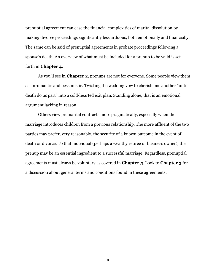prenuptial agreement can ease the financial complexities of marital dissolution by making divorce proceedings significantly less arduous, both emotionally and financially. The same can be said of prenuptial agreements in probate proceedings following a spouse's death. An overview of what must be included for a prenup to be valid is set forth in **Chapter 4**.

As you'll see in **Chapter 2**, prenups are not for everyone. Some people view them as unromantic and pessimistic. Twisting the wedding vow to cherish one another "until death do us part" into a cold-hearted exit plan. Standing alone, that is an emotional argument lacking in reason.

Others view premarital contracts more pragmatically, especially when the marriage introduces children from a previous relationship. The more affluent of the two parties may prefer, very reasonably, the security of a known outcome in the event of death or divorce. To that individual (perhaps a wealthy retiree or business owner), the prenup may be an essential ingredient to a successful marriage. Regardless, prenuptial agreements must always be voluntary as covered in **Chapter 5**. Look to **Chapter 3** for a discussion about general terms and conditions found in these agreements.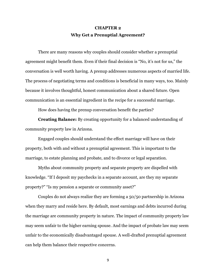# **CHAPTER 2 Why Get a Prenuptial Agreement?**

There are many reasons why couples should consider whether a prenuptial agreement might benefit them. Even if their final decision is "No, it's not for us," the conversation is well worth having. A prenup addresses numerous aspects of married life. The process of negotiating terms and conditions is beneficial in many ways, too. Mainly because it involves thoughtful, honest communication about a shared future. Open communication is an essential ingredient in the recipe for a successful marriage.

How does having the prenup conversation benefit the parties?

**Creating Balance:** By creating opportunity for a balanced understanding of community property law in Arizona.

Engaged couples should understand the effect marriage will have on their property, both with and without a prenuptial agreement. This is important to the marriage, to estate planning and probate, and to divorce or legal separation.

Myths about community property and separate property are dispelled with knowledge. "If I deposit my paychecks in a separate account, are they my separate property?" "Is my pension a separate or community asset?"

Couples do not always realize they are forming a 50/50 partnership in Arizona when they marry and reside here. By default, most earnings and debts incurred during the marriage are community property in nature. The impact of community property law may seem unfair to the higher earning spouse. And the impact of probate law may seem unfair to the economically disadvantaged spouse. A well-drafted prenuptial agreement can help them balance their respective concerns.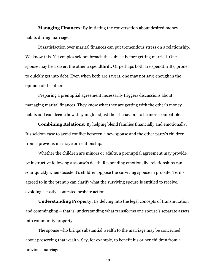**Managing Finances:** By initiating the conversation about desired money habits during marriage.

Dissatisfaction over marital finances can put tremendous stress on a relationship. We know this. Yet couples seldom broach the subject before getting married. One spouse may be a saver, the other a spendthrift. Or perhaps both are spendthrifts, prone to quickly get into debt. Even when both are savers, one may not save enough in the opinion of the other.

Preparing a prenuptial agreement necessarily triggers discussions about managing marital finances. They know what they are getting with the other's money habits and can decide how they might adjust their behaviors to be more compatible.

**Combining Relations:** By helping blend families financially and emotionally. It's seldom easy to avoid conflict between a new spouse and the other party's children from a previous marriage or relationship.

Whether the children are minors or adults, a prenuptial agreement may provide be instructive following a spouse's death. Responding emotionally, relationships can sour quickly when decedent's children oppose the surviving spouse in probate. Terms agreed to in the prenup can clarify what the surviving spouse is entitled to receive, avoiding a costly, contested probate action.

**Understanding Property:** By delving into the legal concepts of transmutation and commingling – that is, understanding what transforms one spouse's separate assets into community property.

The spouse who brings substantial wealth to the marriage may be concerned about preserving that wealth. Say, for example, to benefit his or her children from a previous marriage.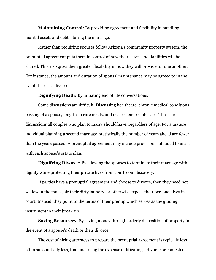**Maintaining Control:** By providing agreement and flexibility in handling marital assets and debts during the marriage.

Rather than requiring spouses follow Arizona's community property system, the prenuptial agreement puts them in control of how their assets and liabilities will be shared. This also gives them greater flexibility in how they will provide for one another. For instance, the amount and duration of spousal maintenance may be agreed to in the event there is a divorce.

**Dignifying Death:** By initiating end of life conversations.

Some discussions are difficult. Discussing healthcare, chronic medical conditions, passing of a spouse, long-term care needs, and desired end-of-life care. These are discussions all couples who plan to marry should have, regardless of age. For a mature individual planning a second marriage, statistically the number of years ahead are fewer than the years passed. A prenuptial agreement may include provisions intended to mesh with each spouse's estate plan.

**Dignifying Divorce:** By allowing the spouses to terminate their marriage with dignity while protecting their private lives from courtroom discovery.

If parties have a prenuptial agreement and choose to divorce, then they need not wallow in the muck, air their dirty laundry, or otherwise expose their personal lives in court. Instead, they point to the terms of their prenup which serves as the guiding instrument in their break-up.

**Saving Resources:** By saving money through orderly disposition of property in the event of a spouse's death or their divorce.

The cost of hiring attorneys to prepare the prenuptial agreement is typically less, often substantially less, than incurring the expense of litigating a divorce or contested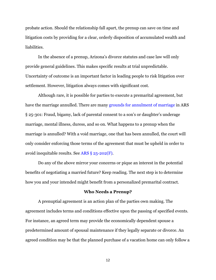probate action. Should the relationship fall apart, the prenup can save on time and litigation costs by providing for a clear, orderly disposition of accumulated wealth and liabilities.

In the absence of a prenup, Arizona's divorce statutes and case law will only provide general guidelines. This makes specific results at trial unpredictable. Uncertainty of outcome is an important factor in leading people to risk litigation over settlement. However, litigation always comes with significant cost.

Although rare, it is possible for parties to execute a premarital agreement, but have the marriage annulled. There are many [grounds for annulment](https://www.arizonalawgroup.com/arizona-divorce/annulment-arizona-marriage/) of marriage in ARS § 25-301: Fraud, bigamy, lack of parental consent to a son's or daughter's underage marriage, mental illness, duress, and so on. What happens to a prenup when the marriage is annulled? With a void marriage, one that has been annulled, the court will only consider enforcing those terms of the agreement that must be upheld in order to avoid inequitable results. See [ARS § 25-202\(F\).](https://www.arizonalawgroup.com/arizona-family-law-statutes/ars-25-202-enforcement-premarital-agreements/)

Do any of the above mirror your concerns or pique an interest in the potential benefits of negotiating a married future? Keep reading. The next step is to determine how you and your intended might benefit from a personalized premarital contract.

#### **Who Needs a Prenup?**

A prenuptial agreement is an action plan of the parties own making. The agreement includes terms and conditions effective upon the passing of specified events. For instance, an agreed term may provide the economically dependent spouse a predetermined amount of spousal maintenance if they legally separate or divorce. An agreed condition may be that the planned purchase of a vacation home can only follow a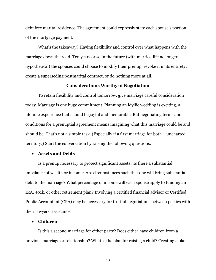debt free marital residence. The agreement could expressly state each spouse's portion of the mortgage payment.

What's the takeaway? Having flexibility and control over what happens with the marriage down the road. Ten years or so in the future (with married life no longer hypothetical) the spouses could choose to modify their prenup, revoke it in its entirety, create a superseding postmarital contract, or do nothing more at all.

## **Considerations Worthy of Negotiation**

To retain flexibility and control tomorrow, give marriage careful consideration today. Marriage is one huge commitment. Planning an idyllic wedding is exciting, a lifetime experience that should be joyful and memorable. But negotiating terms and conditions for a prenuptial agreement means imagining what this marriage could be and should be. That's not a simple task. (Especially if a first marriage for both – uncharted territory.) Start the conversation by raising the following questions.

#### **Assets and Debts**

Is a prenup necessary to protect significant assets? Is there a substantial imbalance of wealth or income? Are circumstances such that one will bring substantial debt to the marriage? What percentage of income will each spouse apply to funding an IRA, 401k, or other retirement plan? Involving a certified financial advisor or Certified Public Accountant (CPA) may be necessary for fruitful negotiations between parties with their lawyers' assistance.

## **Children**

Is this a second marriage for either party? Does either have children from a previous marriage or relationship? What is the plan for raising a child? Creating a plan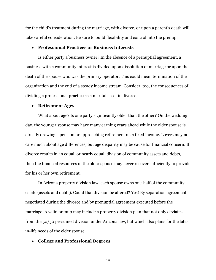for the child's treatment during the marriage, with divorce, or upon a parent's death will take careful consideration. Be sure to build flexibility and control into the prenup.

#### **Professional Practices or Business Interests**

Is either party a business owner? In the absence of a prenuptial agreement, a business with a community interest is divided upon dissolution of marriage or upon the death of the spouse who was the primary operator. This could mean termination of the organization and the end of a steady income stream. Consider, too, the consequences of dividing a professional practice as a marital asset in divorce.

#### **Retirement Ages**

What about age? Is one party significantly older than the other? On the wedding day, the younger spouse may have many earning years ahead while the older spouse is already drawing a pension or approaching retirement on a fixed income. Lovers may not care much about age differences, but age disparity may be cause for financial concern. If divorce results in an equal, or nearly equal, division of community assets and debts, then the financial resources of the older spouse may never recover sufficiently to provide for his or her own retirement.

In Arizona property division law, each spouse owns one-half of the community estate (assets and debts). Could that division be altered? Yes! By separation agreement negotiated during the divorce and by prenuptial agreement executed before the marriage. A valid prenup may include a property division plan that not only deviates from the 50/50 presumed division under Arizona law, but which also plans for the latein-life needs of the elder spouse.

## **College and Professional Degrees**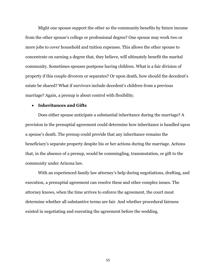Might one spouse support the other so the community benefits by future income from the other spouse's college or professional degree? One spouse may work two or more jobs to cover household and tuition expenses. This allows the other spouse to concentrate on earning a degree that, they believe, will ultimately benefit the marital community. Sometimes spouses postpone having children. What is a fair division of property if this couple divorces or separates? Or upon death, how should the decedent's estate be shared? What if survivors include decedent's children from a previous marriage? Again, a prenup is about control with flexibility.

## **Inheritances and Gifts**

Does either spouse anticipate a substantial inheritance during the marriage? A provision in the prenuptial agreement could determine how inheritance is handled upon a spouse's death. The prenup could provide that any inheritance remains the beneficiary's separate property despite his or her actions during the marriage. Actions that, in the absence of a prenup, would be commingling, transmutation, or gift to the community under Arizona law.

With an experienced family law attorney's help during negotiations, drafting, and execution, a prenuptial agreement can resolve these and other complex issues. The attorney knows, when the time arrives to enforce the agreement, the court must determine whether all substantive terms are fair. And whether procedural fairness existed in negotiating and executing the agreement before the wedding.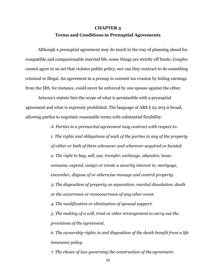# **CHAPTER 3 Terms and Conditions in Prenuptial Agreements**

Although a prenuptial agreement may do much in the way of planning ahead for compatible and companionable married life, some things are strictly off limits. Couples cannot agree to an act that violates public policy, nor can they contract to do something criminal or illegal. An agreement in a prenup to commit tax evasion by hiding earnings from the IRS, for instance, could never be enforced by one spouse against the other.

Arizona's statute lists the scope of what is permissible with a prenuptial agreement and what is expressly prohibited. The language of ARS § 25-203 is broad, allowing parties to negotiate reasonable terms with substantial flexibility:

*A. Parties to a premarital agreement may contract with respect to:*

*1. The rights and obligations of each of the parties in any of the property of either or both of them whenever and wherever acquired or located. 2. The right to buy, sell, use, transfer, exchange, abandon, lease, consume, expend, assign or create a security interest in, mortgage, encumber, dispose of or otherwise manage and control property. 3. The disposition of property on separation, marital dissolution, death or the occurrence or nonoccurrence of any other event.*

*4. The modification or elimination of spousal support.*

*5. The making of a will, trust or other arrangement to carry out the provisions of the agreement.*

*6. The ownership rights in and disposition of the death benefit from a life insurance policy.*

*7. The choice of law governing the construction of the agreement.*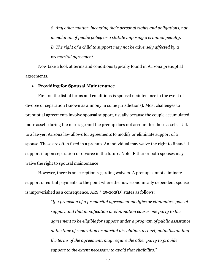*8. Any other matter, including their personal rights and obligations, not in violation of public policy or a statute imposing a criminal penalty. B. The right of a child to support may not be adversely affected by a premarital agreement.* 

Now take a look at terms and conditions typically found in Arizona prenuptial agreements.

## **Providing for Spousal Maintenance**

First on the list of terms and conditions is spousal maintenance in the event of divorce or separation (known as alimony in some jurisdictions). Most challenges to prenuptial agreements involve spousal support, usually because the couple accumulated more assets during the marriage and the prenup does not account for those assets. Talk to a lawyer. Arizona law allows for agreements to modify or eliminate support of a spouse. These are often fixed in a prenup. An individual may waive the right to financial support if upon separation or divorce in the future. Note: Either or both spouses may waive the right to spousal maintenance

However, there is an exception regarding waivers. A prenup cannot eliminate support or curtail payments to the point where the now economically dependent spouse is impoverished as a consequence. ARS § 25-202(D) states as follows:

> *"If a provision of a premarital agreement modifies or eliminates spousal support and that modification or elimination causes one party to the agreement to be eligible for support under a program of public assistance at the time of separation or marital dissolution, a court, notwithstanding the terms of the agreement, may require the other party to provide support to the extent necessary to avoid that eligibility."*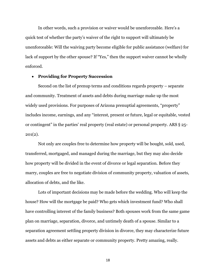In other words, such a provision or waiver would be unenforceable. Here's a quick test of whether the party's waiver of the right to support will ultimately be unenforceable: Will the waiving party become eligible for public assistance (welfare) for lack of support by the other spouse? If "Yes," then the support waiver cannot be wholly enforced.

## **Providing for Property Succession**

Second on the list of prenup terms and conditions regards property – separate and community. Treatment of assets and debts during marriage make up the most widely used provisions. For purposes of Arizona prenuptial agreements, "property" includes income, earnings, and any "interest, present or future, legal or equitable, vested or contingent" in the parties' real property (real estate) or personal property. ARS § 25-  $201(2)$ .

Not only are couples free to determine how property will be bought, sold, used, transferred, mortgaged, and managed during the marriage, but they may also decide how property will be divided in the event of divorce or legal separation. Before they marry, couples are free to negotiate division of community property, valuation of assets, allocation of debts, and the like.

Lots of important decisions may be made before the wedding. Who will keep the house? How will the mortgage be paid? Who gets which investment fund? Who shall have controlling interest of the family business? Both spouses work from the same game plan on marriage, separation, divorce, and untimely death of a spouse. Similar to a separation agreement settling property division in divorce, they may characterize future assets and debts as either separate or community property. Pretty amazing, really.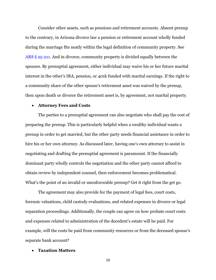Consider other assets, such as pensions and retirement accounts. Absent prenup to the contrary, in Arizona divorce law a pension or retirement account wholly funded during the marriage fits neatly within the legal definition of community property. See [ARS § 25-211.](https://www.arizonalawgroup.com/arizona-family-law-statutes/ars-25-211-property-acquired-marriage/) And in divorce, community property is divided equally between the spouses. By prenuptial agreement, either individual may waive his or her future marital interest in the other's IRA, pension, or 401k funded with marital earnings. If the right to a community share of the other spouse's retirement asset was waived by the prenup, then upon death or divorce the retirement asset is, by agreement, not marital property.

## **Attorney Fees and Costs**

The parties to a prenuptial agreement can also negotiate who shall pay the cost of preparing the prenup. This is particularly helpful when a wealthy individual wants a prenup in order to get married, but the other party needs financial assistance in order to hire his or her own attorney. As discussed later, having one's own attorney to assist in negotiating and drafting the prenuptial agreement is paramount. If the financially dominant party wholly controls the negotiation and the other party cannot afford to obtain review by independent counsel, then enforcement becomes problematical. What's the point of an invalid or unenforceable prenup? Get it right from the get go.

The agreement may also provide for the payment of legal fees, court costs, forensic valuations, child custody evaluations, and related expenses in divorce or legal separation proceedings. Additionally, the couple can agree on how probate court costs and expenses related to administration of the decedent's estate will be paid. For example, will the costs be paid from community resources or from the deceased spouse's separate bank account?

#### **Taxation Matters**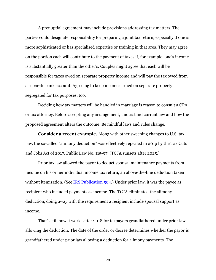A prenuptial agreement may include provisions addressing tax matters. The parties could designate responsibility for preparing a joint tax return, especially if one is more sophisticated or has specialized expertise or training in that area. They may agree on the portion each will contribute to the payment of taxes if, for example, one's income is substantially greater than the other's. Couples might agree that each will be responsible for taxes owed on separate property income and will pay the tax owed from a separate bank account. Agreeing to keep income earned on separate property segregated for tax purposes, too.

Deciding how tax matters will be handled in marriage is reason to consult a CPA or tax attorney. Before accepting any arrangement, understand current law and how the proposed agreement alters the outcome. Be mindful laws and rules change.

**Consider a recent example.** Along with other sweeping changes to U.S. tax law, the so-called "alimony deduction" was effectively repealed in 2019 by the Tax Cuts and Jobs Act of 2017, Public Law No. 115-97. (TCJA sunsets after 2025.)

Prior tax law allowed the payor to deduct spousal maintenance payments from income on his or her individual income tax return, an above-the-line deduction taken without itemization. (See [IRS Publication 504.](https://www.irs.gov/forms-pubs/about-publication-504)) Under prior law, it was the payee as recipient who included payments as income. The TCJA eliminated the alimony deduction, doing away with the requirement a recipient include spousal support as income.

That's still how it works after 2018 for taxpayers grandfathered under prior law allowing the deduction. The date of the order or decree determines whether the payor is grandfathered under prior law allowing a deduction for alimony payments. The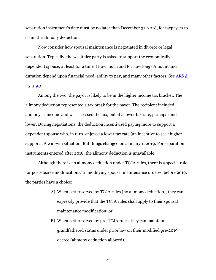separation instrument's date must be no later than December 31, 2018, for taxpayers to claim the alimony deduction.

Now consider how spousal maintenance is negotiated in divorce or legal separation. Typically, the wealthier party is asked to support the economically dependent spouse, at least for a time. (How much and for how long? Amount and duration depend upon financial need, ability to pay, and many other factors. See [ARS §](https://www.arizonalawgroup.com/arizona-family-law-statutes/ars-25-319-maintenance-computation-factors/)  [25-319.](https://www.arizonalawgroup.com/arizona-family-law-statutes/ars-25-319-maintenance-computation-factors/))

Among the two, the payor is likely to be in the higher income tax bracket. The alimony deduction represented a tax break for the payor. The recipient included alimony as income and was assessed the tax, but at a lower tax rate, perhaps much lower. During negotiations, the deduction incentivized paying more to support a dependent spouse who, in turn, enjoyed a lower tax rate (an incentive to seek higher support). A win-win situation. But things changed on January 1, 2019. For separation instruments entered after 2018, the alimony deduction is unavailable.

Although there is no alimony deduction under TCJA rules, there is a special rule for post-decree modifications. In modifying spousal maintenance ordered before 2019, the parties have a choice:

- A) When better served by TCJA rules (no alimony deduction), they can expressly provide that the TCJA rules shall apply to their spousal maintenance modification; or
- B) When better served by pre-TCJA rules, they can maintain grandfathered status under prior law on their modified pre-2019 decree (alimony deduction allowed).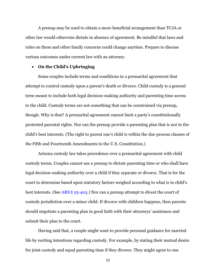A prenup may be used to obtain a more beneficial arrangement than TCJA or other law would otherwise dictate in absence of agreement. Be mindful that laws and rules on these and other family concerns could change anytime. Prepare to discuss various outcomes under current law with an attorney.

## **On the Child's Upbringing**

Some couples include terms and conditions in a premarital agreement that attempt to control custody upon a parent's death or divorce. Child custody is a general term meant to include both legal decision-making authority and parenting time access to the child. Custody terms are not something that can be constrained via prenup, though. Why is that? A premarital agreement cannot limit a party's constitutionally protected parental rights. Nor can the prenup provide a parenting plan that is not in the child's best interests. (The right to parent one's child is within the due process clauses of the Fifth and Fourteenth Amendments to the U.S. Constitution.)

Arizona custody law takes precedence over a premarital agreement with child custody terms. Couples cannot use a prenup to dictate parenting time or who shall have legal decision-making authority over a child if they separate or divorce. That is for the court to determine based upon statutory factors weighed according to what is in child's best interests. (See ARS § [25-403.](https://www.arizonalawgroup.com/arizona-family-law-statutes/ars-25-403-legal-decision-making/)) Nor can a prenup attempt to divest the court of custody jurisdiction over a minor child. If divorce with children happens, then parents should negotiate a parenting plan in good faith with their attorneys' assistance and submit their plan to the court.

Having said that, a couple might want to provide personal guidance for married life by reciting intentions regarding custody. For example, by stating their mutual desire for joint custody and equal parenting time if they divorce. They might agree to one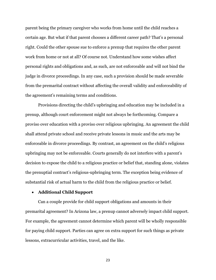parent being the primary caregiver who works from home until the child reaches a certain age. But what if that parent chooses a different career path? That's a personal right. Could the other spouse sue to enforce a prenup that requires the other parent work from home or not at all? Of course not. Understand how some wishes affect personal rights and obligations and, as such, are not enforceable and will not bind the judge in divorce proceedings. In any case, such a provision should be made severable from the premarital contract without affecting the overall validity and enforceability of the agreement's remaining terms and conditions.

Provisions directing the child's upbringing and education may be included in a prenup, although court enforcement might not always be forthcoming. Compare a proviso over education with a proviso over religious upbringing. An agreement the child shall attend private school and receive private lessons in music and the arts may be enforceable in divorce proceedings. By contrast, an agreement on the child's religious upbringing may not be enforceable. Courts generally do not interfere with a parent's decision to expose the child to a religious practice or belief that, standing alone, violates the prenuptial contract's religious-upbringing term. The exception being evidence of substantial risk of actual harm to the child from the religious practice or belief.

#### **Additional Child Support**

Can a couple provide for child support obligations and amounts in their premarital agreement? In Arizona law, a prenup cannot adversely impact child support. For example, the agreement cannot determine which parent will be wholly responsible for paying child support. Parties can agree on extra support for such things as private lessons, extracurricular activities, travel, and the like.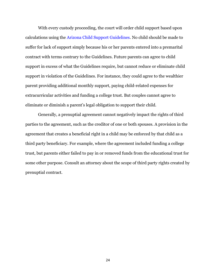With every custody proceeding, the court will order child support based upon calculations using the [Arizona Child Support Guidelines.](https://www.arizonalawgroup.com/child-support-calculator/) No child should be made to suffer for lack of support simply because his or her parents entered into a premarital contract with terms contrary to the Guidelines. Future parents can agree to child support in excess of what the Guidelines require, but cannot reduce or eliminate child support in violation of the Guidelines. For instance, they could agree to the wealthier parent providing additional monthly support, paying child-related expenses for extracurricular activities and funding a college trust. But couples cannot agree to eliminate or diminish a parent's legal obligation to support their child.

Generally, a prenuptial agreement cannot negatively impact the rights of third parties to the agreement, such as the creditor of one or both spouses. A provision in the agreement that creates a beneficial right in a child may be enforced by that child as a third party beneficiary. For example, where the agreement included funding a college trust, but parents either failed to pay in or removed funds from the educational trust for some other purpose. Consult an attorney about the scope of third party rights created by prenuptial contract.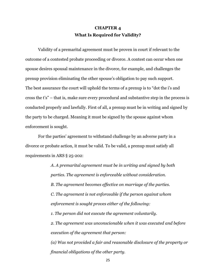# **CHAPTER 4 What Is Required for Validity?**

Validity of a premarital agreement must be proven in court if relevant to the outcome of a contested probate proceeding or divorce. A contest can occur when one spouse desires spousal maintenance in the divorce, for example, and challenges the prenup provision eliminating the other spouse's obligation to pay such support. The best assurance the court will uphold the terms of a prenup is to "dot the i's and cross the t's" – that is, make sure every procedural and substantive step in the process is conducted properly and lawfully. First of all, a prenup must be in writing and signed by the party to be charged. Meaning it must be signed by the spouse against whom enforcement is sought.

For the parties' agreement to withstand challenge by an adverse party in a divorce or probate action, it must be valid. To be valid, a prenup must satisfy all requirements in ARS § 25-202:

> *A. A premarital agreement must be in writing and signed by both parties. The agreement is enforceable without consideration. B. The agreement becomes effective on marriage of the parties. C. The agreement is not enforceable if the person against whom enforcement is sought proves either of the following:*

*1. The person did not execute the agreement voluntarily.*

*2. The agreement was unconscionable when it was executed and before execution of the agreement that person:*

*(a) Was not provided a fair and reasonable disclosure of the property or financial obligations of the other party.*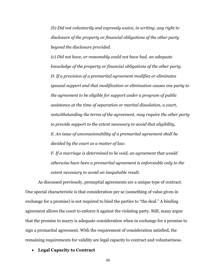*(b) Did not voluntarily and expressly waive, in writing, any right to disclosure of the property or financial obligations of the other party beyond the disclosure provided.*

*(c) Did not have, or reasonably could not have had, an adequate knowledge of the property or financial obligations of the other party. D. If a provision of a premarital agreement modifies or eliminates spousal support and that modification or elimination causes one party to the agreement to be eligible for support under a program of public assistance at the time of separation or marital dissolution, a court, notwithstanding the terms of the agreement, may require the other party to provide support to the extent necessary to avoid that eligibility. E. An issue of unconscionability of a premarital agreement shall be decided by the court as a matter of law.*

*F. If a marriage is determined to be void, an agreement that would otherwise have been a premarital agreement is enforceable only to the extent necessary to avoid an inequitable result.*

As discussed previously, prenuptial agreements are a unique type of contract. One special characteristic is that consideration per se (something of value given in exchange for a promise) is not required to bind the parties to "the deal." A binding agreement allows the court to enforce it against the violating party. Still, many argue that the promise to marry is adequate consideration when in exchange for a promise to sign a premarital agreement. With the requirement of consideration satisfied, the remaining requirements for validity are legal capacity to contract and voluntariness.

#### **Legal Capacity to Contract**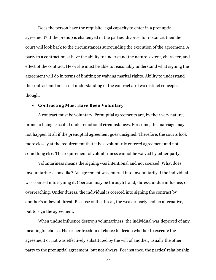Does the person have the requisite legal capacity to enter in a prenuptial agreement? If the prenup is challenged in the parties' divorce, for instance, then the court will look back to the circumstances surrounding the execution of the agreement. A party to a contract must have the ability to understand the nature, extent, character, and effect of the contract. He or she must be able to reasonably understand what signing the agreement will do in terms of limiting or waiving marital rights. Ability to understand the contract and an actual understanding of the contract are two distinct concepts, though.

#### **Contracting Must Have Been Voluntary**

A contract must be voluntary. Prenuptial agreements are, by their very nature, prone to being executed under emotional circumstances. For some, the marriage may not happen at all if the prenuptial agreement goes unsigned. Therefore, the courts look more closely at the requirement that it be a voluntarily entered agreement and not something else. The requirement of voluntariness cannot be waived by either party.

Voluntariness means the signing was intentional and not coerced. What does involuntariness look like? An agreement was entered into involuntarily if the individual was coerced into signing it. Coercion may be through fraud, duress, undue influence, or overreaching. Under duress, the individual is coerced into signing the contract by another's unlawful threat. Because of the threat, the weaker party had no alternative, but to sign the agreement.

When undue influence destroys voluntariness, the individual was deprived of any meaningful choice. His or her freedom of choice to decide whether to execute the agreement or not was effectively substituted by the will of another, usually the other party to the prenuptial agreement, but not always. For instance, the parties' relationship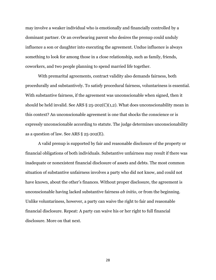may involve a weaker individual who is emotionally and financially controlled by a dominant partner. Or an overbearing parent who desires the prenup could unduly influence a son or daughter into executing the agreement. Undue influence is always something to look for among those in a close relationship, such as family, friends, coworkers, and two people planning to spend married life together.

With premarital agreements, contract validity also demands fairness, both procedurally and substantively. To satisfy procedural fairness, voluntariness is essential. With substantive fairness, if the agreement was unconscionable when signed, then it should be held invalid. See ARS  $\S 25$ -202(C)(1,2). What does unconscionability mean in this context? An unconscionable agreement is one that shocks the conscience or is expressly unconscionable according to statute. The judge determines unconscionability as a question of law. See ARS § 25-202(E).

A valid prenup is supported by fair and reasonable disclosure of the property or financial obligations of both individuals. Substantive unfairness may result if there was inadequate or nonexistent financial disclosure of assets and debts. The most common situation of substantive unfairness involves a party who did not know, and could not have known, about the other's finances. Without proper disclosure, the agreement is unconscionable having lacked substantive fairness *ab initio*, or from the beginning. Unlike voluntariness, however, a party can waive the right to fair and reasonable financial disclosure. Repeat: A party can waive his or her right to full financial disclosure. More on that next.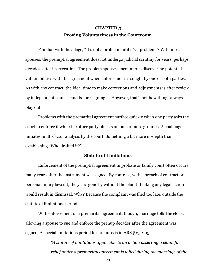# **CHAPTER 5 Proving Voluntariness in the Courtroom**

Familiar with the adage, "It's not a problem until it's a problem"? With most spouses, the prenuptial agreement does not undergo judicial scrutiny for years, perhaps decades, after its execution. The problem spouses encounter is discovering potential vulnerabilities with the agreement when enforcement is sought by one or both parties. As with any contract, the ideal time to make corrections and adjustments is after review by independent counsel and before signing it. However, that's not how things always play out.

Problems with the premarital agreement surface quickly when one party asks the court to enforce it while the other party objects on one or more grounds. A challenge initiates multi-factor analysis by the court. Something a bit more in-depth than establishing "Who drafted it?"

#### **Statute of Limitations**

Enforcement of the prenuptial agreement in probate or family court often occurs many years after the instrument was signed. By contrast, with a breach of contract or personal injury lawsuit, the years gone by without the plaintiff taking any legal action would result in dismissal. Why? Because the complaint was filed too late, outside the statute of limitations period.

With enforcement of a premarital agreement, though, marriage tolls the clock, allowing a spouse to sue and enforce the prenup decades after the agreement was signed. A special limitations period for prenups is in [ARS § 25-205:](https://www.azleg.gov/viewdocument/?docName=https://www.azleg.gov/ars/25/00205.htm)

> *"A statute of limitations applicable to an action asserting a claim for relief under a premarital agreement is tolled during the marriage of the*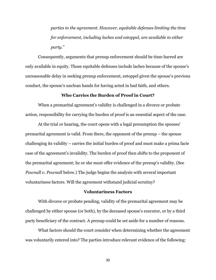*parties to the agreement. However, equitable defenses limiting the time for enforcement, including laches and estoppel, are available to either party."*

Consequently, arguments that prenup enforcement should be time-barred are only available in equity. Those equitable defenses include laches because of the spouse's unreasonable delay in seeking prenup enforcement, estoppel given the spouse's previous conduct, the spouse's unclean hands for having acted in bad faith, and others.

### **Who Carries the Burden of Proof in Court?**

When a premarital agreement's validity is challenged in a divorce or probate action, responsibility for carrying the burden of proof is an essential aspect of the case.

At the trial or hearing, the court opens with a legal presumption the spouses' premarital agreement is valid. From there, the opponent of the prenup – the spouse challenging its validity – carries the initial burden of proof and must make a prima facie case of the agreement's invalidity. The burden of proof then shifts to the proponent of the premarital agreement; he or she must offer evidence of the prenup's validity. (See *Pownall v. Pownall* below.) The judge begins the analysis with several important voluntariness factors. Will the agreement withstand judicial scrutiny?

#### **Voluntariness Factors**

With divorce or probate pending, validity of the premarital agreement may be challenged by either spouse (or both), by the deceased spouse's executor, or by a third party beneficiary of the contract. A prenup could be set aside for a number of reasons.

What factors should the court consider when determining whether the agreement was voluntarily entered into? The parties introduce relevant evidence of the following: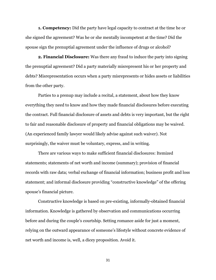**1. Competency:** Did the party have legal capacity to contract at the time he or she signed the agreement? Was he or she mentally incompetent at the time? Did the spouse sign the prenuptial agreement under the influence of drugs or alcohol?

**2. Financial Disclosure:** Was there any fraud to induce the party into signing the prenuptial agreement? Did a party materially misrepresent his or her property and debts? Misrepresentation occurs when a party misrepresents or hides assets or liabilities from the other party.

Parties to a prenup may include a recital, a statement, about how they know everything they need to know and how they made financial disclosures before executing the contract. Full financial disclosure of assets and debts is very important, but the right to fair and reasonable disclosure of property and financial obligations may be waived. (An experienced family lawyer would likely advise against such waiver). Not surprisingly, the waiver must be voluntary, express, and in writing.

There are various ways to make sufficient financial disclosures: Itemized statements; statements of net worth and income (summary); provision of financial records with raw data; verbal exchange of financial information; business profit and loss statement; and informal disclosure providing "constructive knowledge" of the offering spouse's financial picture.

Constructive knowledge is based on pre-existing, informally-obtained financial information. Knowledge is gathered by observation and communications occurring before and during the couple's courtship. Setting romance aside for just a moment, relying on the outward appearance of someone's lifestyle without concrete evidence of net worth and income is, well, a dicey proposition. Avoid it.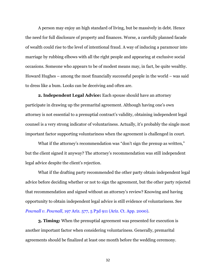A person may enjoy an high standard of living, but be massively in debt. Hence the need for full disclosure of property and finances. Worse, a carefully planned facade of wealth could rise to the level of intentional fraud. A way of inducing a paramour into marriage by rubbing elbows with all the right people and appearing at exclusive social occasions. Someone who appears to be of modest means may, in fact, be quite wealthy. Howard Hughes – among the most financially successful people in the world – was said to dress like a bum. Looks can be deceiving and often are.

**2. Independent Legal Advice:** Each spouse should have an attorney participate in drawing up the premarital agreement. Although having one's own attorney is not essential to a prenuptial contract's validity, obtaining independent legal counsel is a very strong indicator of voluntariness. Actually, it's probably the single most important factor supporting voluntariness when the agreement is challenged in court.

What if the attorney's recommendation was "don't sign the prenup as written," but the client signed it anyway? The attorney's recommendation was still independent legal advice despite the client's rejection.

What if the drafting party recommended the other party obtain independent legal advice before deciding whether or not to sign the agreement, but the other party rejected that recommendation and signed without an attorney's review? Knowing and having opportunity to obtain independent legal advice is still evidence of voluntariness. See *Pownall v. Pownall*[, 197 Ariz. 577, 5 P3d 911 \(Ariz. Ct. App. 2000\).](http://www.azafla.com/system/documents/310/original/Pownall%20v.%20Pownall.pdf)

**3. Timing:** When the prenuptial agreement was presented for execution is another important factor when considering voluntariness. Generally, premarital agreements should be finalized at least one month before the wedding ceremony.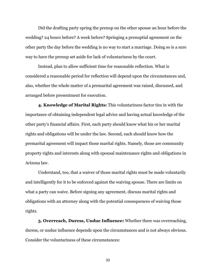Did the drafting party spring the prenup on the other spouse an hour before the wedding? 24 hours before? A week before? Springing a prenuptial agreement on the other party the day before the wedding is no way to start a marriage. Doing so is a sure way to have the prenup set aside for lack of voluntariness by the court.

Instead, plan to allow sufficient time for reasonable reflection. What is considered a reasonable period for reflection will depend upon the circumstances and, also, whether the whole matter of a premarital agreement was raised, discussed, and arranged before presentment for execution.

**4. Knowledge of Marital Rights:** This voluntariness factor ties in with the importance of obtaining independent legal advice and having actual knowledge of the other party's financial affairs. First, each party should know what his or her marital rights and obligations will be under the law. Second, each should know how the premarital agreement will impact those marital rights. Namely, those are community property rights and interests along with spousal maintenance rights and obligations in Arizona law.

Understand, too, that a waiver of those marital rights must be made voluntarily and intelligently for it to be enforced against the waiving spouse. There are limits on what a party can waive. Before signing any agreement, discuss marital rights and obligations with an attorney along with the potential consequences of waiving those rights.

**5. Overreach, Duress, Undue Influence:** Whether there was overreaching, duress, or undue influence depends upon the circumstances and is not always obvious. Consider the voluntariness of these circumstances: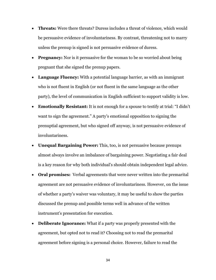- **Threats:** Were there threats? Duress includes a threat of violence, which would be persuasive evidence of involuntariness. By contrast, threatening not to marry unless the prenup is signed is not persuasive evidence of duress.
- **Pregnancy:** Nor is it persuasive for the woman to be so worried about being pregnant that she signed the prenup papers.
- **Language Fluency:** With a potential language barrier, as with an immigrant who is not fluent in English (or not fluent in the same language as the other party), the level of communication in English sufficient to support validity is low.
- **Emotionally Resistant:** It is not enough for a spouse to testify at trial: "I didn't want to sign the agreement." A party's emotional opposition to signing the prenuptial agreement, but who signed off anyway, is not persuasive evidence of involuntariness.
- **Unequal Bargaining Power:** This, too, is not persuasive because prenups almost always involve an imbalance of bargaining power. Negotiating a fair deal is a key reason for why both individual's should obtain independent legal advice.
- **Oral promises:** Verbal agreements that were never written into the premarital agreement are not persuasive evidence of involuntariness. However, on the issue of whether a party's waiver was voluntary, it may be useful to show the parties discussed the prenup and possible terms well in advance of the written instrument's presentation for execution.
- **Deliberate Ignorance:** What if a party was properly presented with the agreement, but opted not to read it? Choosing not to read the premarital agreement before signing is a personal choice. However, failure to read the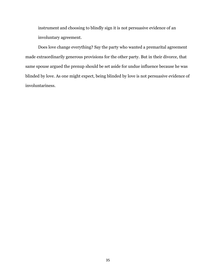instrument and choosing to blindly sign it is not persuasive evidence of an involuntary agreement.

Does love change everything? Say the party who wanted a premarital agreement made extraordinarily generous provisions for the other party. But in their divorce, that same spouse argued the prenup should be set aside for undue influence because he was blinded by love. As one might expect, being blinded by love is not persuasive evidence of involuntariness.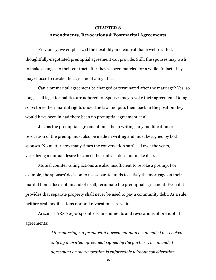#### **CHAPTER 6**

### **Amendments, Revocations & Postmarital Agreements**

Previously, we emphasized the flexibility and control that a well-drafted, thoughtfully-negotiated prenuptial agreement can provide. Still, the spouses may wish to make changes to their contract after they've been married for a while. In fact, they may choose to revoke the agreement altogether.

Can a premarital agreement be changed or terminated after the marriage? Yes, so long as all legal formalities are adhered to. Spouses may revoke their agreement. Doing so restores their marital rights under the law and puts them back in the position they would have been in had there been no prenuptial agreement at all.

Just as the prenuptial agreement must be in writing, any modification or revocation of the prenup must also be made in writing and must be signed by both spouses. No matter how many times the conversation surfaced over the years, verbalizing a mutual desire to cancel the contract does not make it so.

Mutual countervailing actions are also insufficient to revoke a prenup. For example, the spouses' decision to use separate funds to satisfy the mortgage on their marital home does not, in and of itself, terminate the prenuptial agreement. Even if it provides that separate property shall never be used to pay a community debt. As a rule, neither oral modifications nor oral revocations are valid.

Arizona's ARS § 25-204 controls amendments and revocations of prenuptial agreements:

> *After marriage, a premarital agreement may be amended or revoked only by a written agreement signed by the parties. The amended agreement or the revocation is enforceable without consideration.*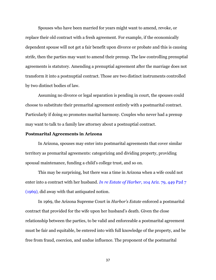Spouses who have been married for years might want to amend, revoke, or replace their old contract with a fresh agreement. For example, if the economically dependent spouse will not get a fair benefit upon divorce or probate and this is causing strife, then the parties may want to amend their prenup. The law controlling prenuptial agreements is statutory. Amending a prenuptial agreement after the marriage does not transform it into a postnuptial contract. Those are two distinct instruments controlled by two distinct bodies of law.

Assuming no divorce or legal separation is pending in court, the spouses could choose to substitute their premarital agreement entirely with a postmarital contract. Particularly if doing so promotes marital harmony. Couples who never had a prenup may want to talk to a family law attorney about a postnuptial contract.

#### **Postmarital Agreements in Arizona**

In Arizona, spouses may enter into postmarital agreements that cover similar territory as premarital agreements: categorizing and dividing property, providing spousal maintenance, funding a child's college trust, and so on.

This may be surprising, but there was a time in Arizona when a wife could not enter into a contract with her husband. *In re Estate of Harber*, [104 Ariz. 79, 449 P2d 7](https://www.courtlistener.com/opinion/1345431/in-re-estate-of-harber/)  [\(1969\)](https://www.courtlistener.com/opinion/1345431/in-re-estate-of-harber/), did away with that antiquated notion.

In 1969, the Arizona Supreme Court in *Harbor's Estate* enforced a postmarital contract that provided for the wife upon her husband's death. Given the close relationship between the parties, to be valid and enforceable a postmarital agreement must be fair and equitable, be entered into with full knowledge of the property, and be free from fraud, coercion, and undue influence. The proponent of the postmarital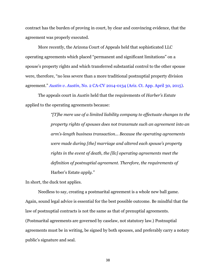contract has the burden of proving in court, by clear and convincing evidence, that the agreement was properly executed.

More recently, the Arizona Court of Appeals held that sophisticated LLC operating agreements which placed "permanent and significant limitations" on a spouse's property rights and which transferred substantial control to the other spouse were, therefore, "no less severe than a more traditional postnuptial property division agreement." *Austin v. Austin*[, No. 2 CA-CV 2014-0134 \(Ariz. Ct. App. April 30, 2015\).](http://www.omlaw.com/uploads/docs/Blog_Cases/CV20140134OPN.pdf)

The appeals court in *Austin* held that the requirements of *Harber's Estate* applied to the operating agreements because:

> *"[T]he mere use of a limited liability company to effectuate changes to the property rights of spouses does not transmute such an agreement into an arm's-length business transaction... Because the operating agreements were made during [the] marriage and altered each spouse's property rights in the event of death, the [llc] operating agreements meet the definition of postnuptial agreement. Therefore, the requirements of*  Harber's Estate *apply."*

In short, the duck test applies.

Needless to say, creating a postmarital agreement is a whole new ball game. Again, sound legal advice is essential for the best possible outcome. Be mindful that the law of postnuptial contracts is not the same as that of prenuptial agreements. (Postmarital agreements are governed by caselaw, not statutory law.) Postnuptial agreements must be in writing, be signed by both spouses, and preferably carry a notary public's signature and seal.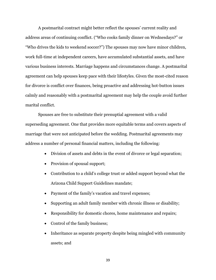A postmarital contract might better reflect the spouses' current reality and address areas of continuing conflict. ("Who cooks family dinner on Wednesdays?" or "Who drives the kids to weekend soccer?") The spouses may now have minor children, work full-time at independent careers, have accumulated substantial assets, and have various business interests. Marriage happens and circumstances change. A postmarital agreement can help spouses keep pace with their lifestyles. Given the most-cited reason for divorce is conflict over finances, being proactive and addressing hot-button issues calmly and reasonably with a postmarital agreement may help the couple avoid further marital conflict.

Spouses are free to substitute their prenuptial agreement with a valid superseding agreement. One that provides more equitable terms and covers aspects of marriage that were not anticipated before the wedding. Postmarital agreements may address a number of personal financial matters, including the following:

- Division of assets and debts in the event of divorce or legal separation;
- Provision of spousal support;
- Contribution to a child's college trust or added support beyond what the Arizona Child Support Guidelines mandate;
- Payment of the family's vacation and travel expenses;
- Supporting an adult family member with chronic illness or disability;
- Responsibility for domestic chores, home maintenance and repairs;
- Control of the family business;
- Inheritance as separate property despite being mingled with community assets; and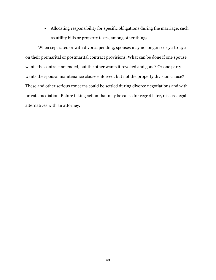Allocating responsibility for specific obligations during the marriage, such as utility bills or property taxes, among other things.

When separated or with divorce pending, spouses may no longer see eye-to-eye on their premarital or postmarital contract provisions. What can be done if one spouse wants the contract amended, but the other wants it revoked and gone? Or one party wants the spousal maintenance clause enforced, but not the property division clause? These and other serious concerns could be settled during divorce negotiations and with private mediation. Before taking action that may be cause for regret later, discuss legal alternatives with an attorney.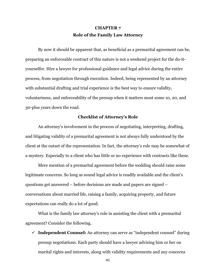# **CHAPTER 7 Role of the Family Law Attorney**

By now it should be apparent that, as beneficial as a premarital agreement can be, preparing an enforceable contract of this nature is not a weekend project for the do-ityourselfer. Hire a lawyer for professional guidance and legal advice during the entire process, from negotiation through execution. Indeed, being represented by an attorney with substantial drafting and trial experience is the best way to ensure validity, voluntariness, and enforceability of the prenup when it matters most some 10, 20, and 30-plus years down the road.

## **Checklist of Attorney's Role**

An attorney's involvement in the process of negotiating, interpreting, drafting, and litigating validity of a premarital agreement is not always fully understood by the client at the outset of the representation. In fact, the attorney's role may be somewhat of a mystery. Especially to a client who has little or no experience with contracts like these.

Mere mention of a premarital agreement before the wedding should raise some legitimate concerns. So long as sound legal advice is readily available and the client's questions get answered – before decisions are made and papers are signed – conversations about married life, raising a family, acquiring property, and future expectations can really do a lot of good.

What is the family law attorney's role in assisting the client with a premarital agreement? Consider the following.

 **Independent Counsel:** An attorney can serve as "independent counsel" during prenup negotiations. Each party should have a lawyer advising him or her on marital rights and interests, along with validity requirements and any concerns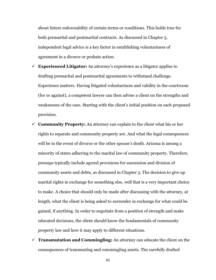about future enforceability of certain terms or conditions. This holds true for both premarital and postmarital contracts. As discussed in Chapter 5, independent legal advice is a key factor in establishing voluntariness of agreement in a divorce or probate action.

- $\checkmark$  **Experienced Litigator:** An attorney's experience as a litigator applies to drafting premarital and postmarital agreements to withstand challenge. Experience matters. Having litigated voluntariness and validity in the courtroom (for or against), a competent lawyer can then advise a client on the strengths and weaknesses of the case. Starting with the client's initial position on each proposed provision.
- **Community Property:** An attorney can explain to the client what his or her rights to separate and community property are. And what the legal consequences will be in the event of divorce or the other spouse's death. Arizona is among a minority of states adhering to the marital law of community property. Therefore, prenups typically include agreed provisions for succession and division of community assets and debts, as discussed in Chapter 3. The decision to give up marital rights in exchange for something else, well that is a very important choice to make. A choice that should only be made after discussing with the attorney, at length, what the client is being asked to surrender in exchange for what could be gained, if anything. In order to negotiate from a position of strength and make educated decisions, the client should know the fundamentals of community property law and how it may apply to different situations.
- $\checkmark$  **Transmutation and Commingling:** An attorney can educate the client on the consequences of transmuting and commingling assets. The carefully drafted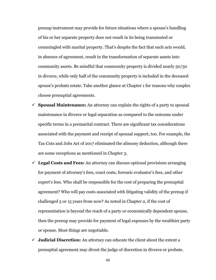prenup instrument may provide for future situations where a spouse's handling of his or her separate property does not result in its being transmuted or commingled with marital property. That's despite the fact that such acts would, in absence of agreement, result in the transformation of separate assets into community assets. Be mindful that community property is divided nearly 50/50 in divorce, while only half of the community property is included in the deceased spouse's probate estate. Take another glance at Chapter 1 for reasons why couples choose prenuptial agreements.

- $\checkmark$  **Spousal Maintenance:** An attorney can explain the rights of a party to spousal maintenance in divorce or legal separation as compared to the outcome under specific terms in a premarital contract. There are significant tax considerations associated with the payment and receipt of spousal support, too. For example, the Tax Cuts and Jobs Act of 2017 eliminated the alimony deduction, although there are some exceptions as mentioned in Chapter 3.
- **Legal Costs and Fees:** An attorney can discuss optional provisions arranging for payment of attorney's fees, court costs, forensic evaluator's fees, and other expert's fees. Who shall be responsible for the cost of preparing the prenuptial agreement? Who will pay costs associated with litigating validity of the prenup if challenged 5 or 15 years from now? As noted in Chapter 2, if the cost of representation is beyond the reach of a party or economically dependent spouse, then the prenup may provide for payment of legal expenses by the wealthier party or spouse. Most things are negotiable.
- **Judicial Discretion:** An attorney can educate the client about the extent a prenuptial agreement may divest the judge of discretion in divorce or probate.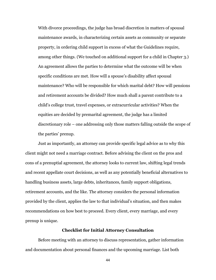With divorce proceedings, the judge has broad discretion in matters of spousal maintenance awards, in characterizing certain assets as community or separate property, in ordering child support in excess of what the Guidelines require, among other things. (We touched on additional support for a child in Chapter 3.) An agreement allows the parties to determine what the outcome will be when specific conditions are met. How will a spouse's disability affect spousal maintenance? Who will be responsible for which marital debt? How will pensions and retirement accounts be divided? How much shall a parent contribute to a child's college trust, travel expenses, or extracurricular activities? When the equities are decided by premarital agreement, the judge has a limited discretionary role – one addressing only those matters falling outside the scope of the parties' prenup.

Just as importantly, an attorney can provide specific legal advice as to why this client might not need a marriage contract. Before advising the client on the pros and cons of a prenuptial agreement, the attorney looks to current law, shifting legal trends and recent appellate court decisions, as well as any potentially beneficial alternatives to handling business assets, large debts, inheritances, family support obligations, retirement accounts, and the like. The attorney considers the personal information provided by the client, applies the law to that individual's situation, and then makes recommendations on how best to proceed. Every client, every marriage, and every prenup is unique.

## **Checklist for Initial Attorney Consultation**

Before meeting with an attorney to discuss representation, gather information and documentation about personal finances and the upcoming marriage. List both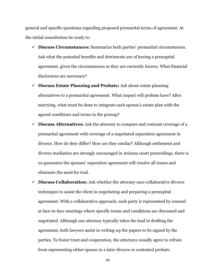general and specific questions regarding proposed premarital terms of agreement. At the initial consultation be ready to:

- **Discuss Circumstances:** Summarize both parties' premarital circumstances. Ask what the potential benefits and detriments are of having a prenuptial agreement, given the circumstances as they are currently known. What financial disclosures are necessary?
- **Discuss Estate Planning and Probate:** Ask about estate planning alternatives to a premarital agreement. What impact will probate have? After marrying, what must be done to integrate each spouse's estate plan with the agreed conditions and terms in the prenup?
- **Discuss Alternatives:** Ask the attorney to compare and contrast coverage of a premarital agreement with coverage of a negotiated separation agreement in divorce. How do they differ? How are they similar? Although settlement and divorce mediation are strongly encouraged in Arizona court proceedings, there is no guarantee the spouses' separation agreement will resolve all issues and eliminate the need for trial.
- **Discuss Collaboration:** Ask whether the attorney uses collaborative divorce techniques to assist the client in negotiating and preparing a prenuptial agreement. With a collaborative approach, each party is represented by counsel at face-to-face meetings where specific terms and conditions are discussed and negotiated. Although one attorney typically takes the lead in drafting the agreement, both lawyers assist in writing-up the papers to be signed by the parties. To foster trust and cooperation, the attorneys usually agree to refrain from representing either spouse in a later divorce or contested probate.
	- 45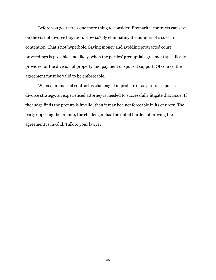Before you go, there's one more thing to consider. Premarital contracts can save on the cost of divorce litigation. How so? By eliminating the number of issues in contention. That's not hyperbole. Saving money and avoiding protracted court proceedings is possible, and likely, when the parties' prenuptial agreement specifically provides for the division of property and payment of spousal support. Of course, the agreement must be valid to be enforceable.

When a premarital contract is challenged in probate or as part of a spouse's divorce strategy, an experienced attorney is needed to successfully litigate that issue. If the judge finds the prenup is invalid, then it may be unenforceable in its entirety. The party opposing the prenup, the challenger, has the initial burden of proving the agreement is invalid. Talk to your lawyer.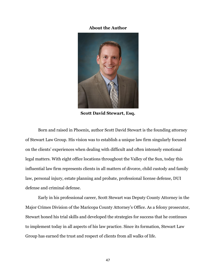## **About the Author**



**Scott David Stewart, Esq.**

Born and raised in Phoenix, author Scott David Stewart is the founding attorney of Stewart Law Group. His vision was to establish a unique law firm singularly focused on the clients' experiences when dealing with difficult and often intensely emotional legal matters. With eight office locations throughout the Valley of the Sun, today this influential law firm represents clients in all matters of divorce, child custody and family law, personal injury, estate planning and probate, professional license defense, DUI defense and criminal defense.

Early in his professional career, Scott Stewart was Deputy County Attorney in the Major Crimes Division of the Maricopa County Attorney's Office. As a felony prosecutor, Stewart honed his trial skills and developed the strategies for success that he continues to implement today in all aspects of his law practice. Since its formation, Stewart Law Group has earned the trust and respect of clients from all walks of life.